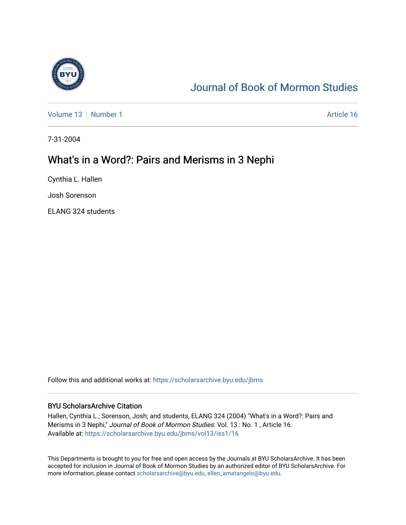

# [Journal of Book of Mormon Studies](https://scholarsarchive.byu.edu/jbms)

[Volume 13](https://scholarsarchive.byu.edu/jbms/vol13) [Number 1](https://scholarsarchive.byu.edu/jbms/vol13/iss1) Article 16

7-31-2004

## What's in a Word?: Pairs and Merisms in 3 Nephi

Cynthia L. Hallen

Josh Sorenson

ELANG 324 students

Follow this and additional works at: [https://scholarsarchive.byu.edu/jbms](https://scholarsarchive.byu.edu/jbms?utm_source=scholarsarchive.byu.edu%2Fjbms%2Fvol13%2Fiss1%2F16&utm_medium=PDF&utm_campaign=PDFCoverPages) 

### BYU ScholarsArchive Citation

Hallen, Cynthia L.; Sorenson, Josh; and students, ELANG 324 (2004) "What's in a Word?: Pairs and Merisms in 3 Nephi," Journal of Book of Mormon Studies: Vol. 13 : No. 1 , Article 16. Available at: [https://scholarsarchive.byu.edu/jbms/vol13/iss1/16](https://scholarsarchive.byu.edu/jbms/vol13/iss1/16?utm_source=scholarsarchive.byu.edu%2Fjbms%2Fvol13%2Fiss1%2F16&utm_medium=PDF&utm_campaign=PDFCoverPages)

This Departments is brought to you for free and open access by the Journals at BYU ScholarsArchive. It has been accepted for inclusion in Journal of Book of Mormon Studies by an authorized editor of BYU ScholarsArchive. For more information, please contact [scholarsarchive@byu.edu, ellen\\_amatangelo@byu.edu.](mailto:scholarsarchive@byu.edu,%20ellen_amatangelo@byu.edu)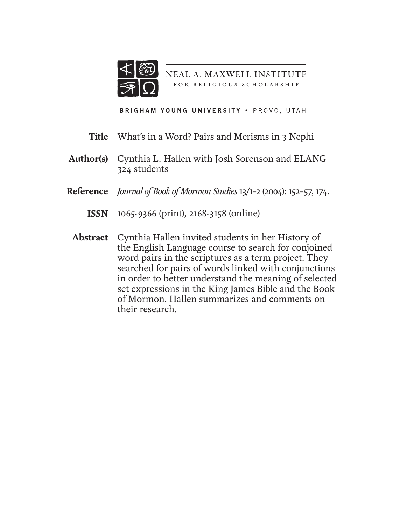

NEAL A. MAXWELL INSTITUTE FOR RELIGIOUS SCHOLARSHIP

BRIGHAM YOUNG UNIVERSITY . PROVO, UTAH

- What's in a Word? Pairs and Merisms in 3 Nephi **Title**
- Cynthia L. Hallen with Josh Sorenson and ELANG 324 students **Author(s)**
- *Journal of Book of Mormon Studies* 13/1–2 (2004): 152–57, 174. **Reference**
	- 1065-9366 (print), 2168-3158 (online) **ISSN**
	- Abstract Cynthia Hallen invited students in her History of the English Language course to search for conjoined word pairs in the scriptures as a term project. They searched for pairs of words linked with conjunctions in order to better understand the meaning of selected set expressions in the King James Bible and the Book of Mormon. Hallen summarizes and comments on their research.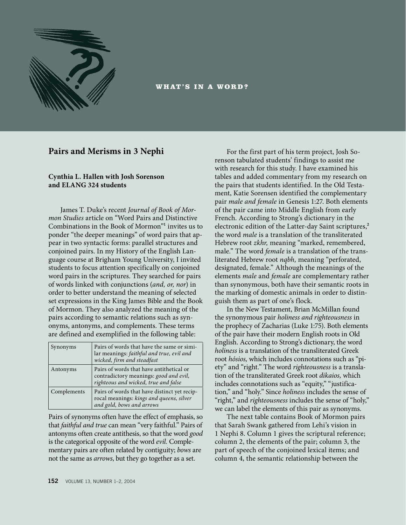

WHAT'S IN A WORD?

## **Pairs and Merisms in 3 Nephi**

### **Cynthia L. Hallen with Josh Sorenson and ELANG 324 students**

James T. Duke's recent *Journal of Book of Mormon Studies* article on "Word Pairs and Distinctive Combinations in the Book of Mormon" invites us to ponder "the deeper meanings" of word pairs that appear in two syntactic forms: parallel structures and conjoined pairs. In my History of the English Language course at Brigham Young University, I invited students to focus attention specifically on conjoined word pairs in the scriptures. They searched for pairs of words linked with conjunctions (*and, or, nor*) in order to better understand the meaning of selected set expressions in the King James Bible and the Book of Mormon. They also analyzed the meaning of the pairs according to semantic relations such as synonyms, antonyms, and complements. These terms are defined and exemplified in the following table:

| Synonyms    | Pairs of words that have the same or simi-<br>lar meanings: faithful and true, evil and<br>wicked, firm and steadfast      |
|-------------|----------------------------------------------------------------------------------------------------------------------------|
| Antonyms    | Pairs of words that have antithetical or<br>contradictory meanings: good and evil,<br>righteous and wicked, true and false |
| Complements | Pairs of words that have distinct yet recip-<br>rocal meanings: kings and queens, silver<br>and gold, bows and arrows      |

Pairs of synonyms often have the effect of emphasis, so that *faithful and true* can mean "very faithful." Pairs of antonyms often create antithesis, so that the word *good* is the categorical opposite of the word *evil.* Complementary pairs are often related by contiguity; *bows* are not the same as *arrows*, but they go together as a set.

For the first part of his term project, Josh Sorenson tabulated students' findings to assist me with research for this study. I have examined his tables and added commentary from my research on the pairs that students identified. In the Old Testament, Katie Sorensen identified the complementary pair *male and female* in Genesis 1:27. Both elements of the pair came into Middle English from early French. According to Strong's dictionary in the electronic edition of the Latter-day Saint scriptures,<sup>2</sup> the word *male* is a translation of the transliterated Hebrew root *zkhr,* meaning "marked, remembered, male." The word *female* is a translation of the transliterated Hebrew root *nqbh,* meaning "perforated, designated, female." Although the meanings of the elements *male* and *female* are complementary rather than synonymous, both have their semantic roots in the marking of domestic animals in order to distinguish them as part of one's flock.

In the New Testament, Brian McMillan found the synonymous pair *holiness and righteousness* in the prophecy of Zacharias (Luke 1:75). Both elements of the pair have their modern English roots in Old English. According to Strong's dictionary, the word *holiness* is a translation of the transliterated Greek root *hósios,* which includes connotations such as "piety" and "right." The word *righteousness* is a translation of the transliterated Greek root *dikaios,* which includes connotations such as "equity," "justification," and "holy." Since *holiness* includes the sense of "right," and *righteousness* includes the sense of "holy," we can label the elements of this pair as synonyms.

The next table contains Book of Mormon pairs that Sarah Swank gathered from Lehi's vision in 1 Nephi 8. Column 1 gives the scriptural reference; column 2, the elements of the pair; column 3, the part of speech of the conjoined lexical items; and column 4, the semantic relationship between the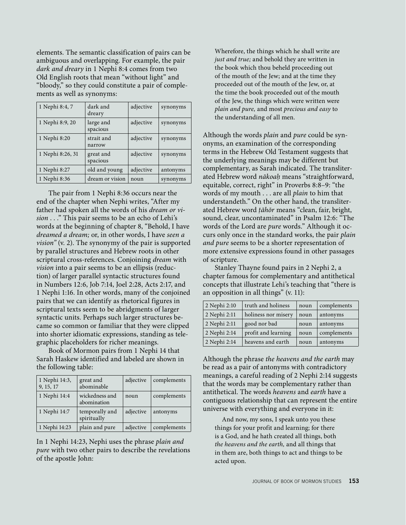elements. The semantic classification of pairs can be ambiguous and overlapping. For example, the pair *dark and dreary* in 1 Nephi 8:4 comes from two Old English roots that mean "without light" and "bloody," so they could constitute a pair of complements as well as synonyms:

| 1 Nephi 8:4, 7   | dark and<br>dreary    | adjective | synonyms |
|------------------|-----------------------|-----------|----------|
| 1 Nephi 8:9, 20  | large and<br>spacious | adjective | synonyms |
| 1 Nephi 8:20     | strait and<br>narrow  | adjective | synonyms |
| 1 Nephi 8:26, 31 | great and<br>spacious | adjective | synonyms |
| 1 Nephi 8:27     | old and young         | adjective | antonyms |
| 1 Nephi 8:36     | dream or vision       | noun      | synonyms |

The pair from 1 Nephi 8:36 occurs near the end of the chapter when Nephi writes, "After my father had spoken all the words of his *dream or vision* . . ." This pair seems to be an echo of Lehi's words at the beginning of chapter 8, "Behold, I have *dreamed a dream;* or, in other words, I have *seen a vision"* (v. 2). The synonymy of the pair is supported by parallel structures and Hebrew roots in other scriptural cross-references. Conjoining *dream* with *vision* into a pair seems to be an ellipsis (reduction) of larger parallel syntactic structures found in Numbers 12:6, Job 7:14, Joel 2:28, Acts 2:17, and 1 Nephi 1:16. In other words, many of the conjoined pairs that we can identify as rhetorical figures in scriptural texts seem to be abridgments of larger syntactic units. Perhaps such larger structures became so common or familiar that they were clipped into shorter idiomatic expressions, standing as telegraphic placeholders for richer meanings.

Book of Mormon pairs from 1 Nephi 14 that Sarah Haskew identified and labeled are shown in the following table:

| 1 Nephi 14:3,<br>9, 15, 17 | great and<br>abominable       | adjective | complements |
|----------------------------|-------------------------------|-----------|-------------|
| 1 Nephi 14:4               | wickedness and<br>abomination | noun      | complements |
| 1 Nephi 14:7               | temporally and<br>spiritually | adjective | antonyms    |
| 1 Nephi 14:23              | plain and pure                | adjective | complements |

In 1 Nephi 14:23, Nephi uses the phrase *plain and pure* with two other pairs to describe the revelations of the apostle John:

Wherefore, the things which he shall write are *just and true;* and behold they are written in the book which thou beheld proceeding out of the mouth of the Jew; and at the time they proceeded out of the mouth of the Jew, or, at the time the book proceeded out of the mouth of the Jew, the things which were written were *plain and pure,* and most *precious and easy* to the understanding of all men.

Although the words *plain* and *pure* could be synonyms, an examination of the corresponding terms in the Hebrew Old Testament suggests that the underlying meanings may be different but complementary, as Sarah indicated. The transliterated Hebrew word *nākoa˙* means "straightforward, equitable, correct, right" in Proverbs 8:8–9: "the words of my mouth . . . are all *plain* to him that understandeth." On the other hand, the transliterated Hebrew word *†āhōr* means "clean, fair, bright, sound, clear, uncontaminated" in Psalm 12:6: "The words of the Lord are *pure* words." Although it occurs only once in the standard works, the pair *plain and pure* seems to be a shorter representation of more extensive expressions found in other passages of scripture.

Stanley Thayne found pairs in 2 Nephi 2, a chapter famous for complementary and antithetical concepts that illustrate Lehi's teaching that "there is an opposition in all things" (v. 11):

| 2 Nephi 2:10 | truth and holiness  | noun | complements |
|--------------|---------------------|------|-------------|
| 2 Nephi 2:11 | holiness nor misery | noun | antonyms    |
| 2 Nephi 2:11 | good nor bad        | noun | antonyms    |
| 2 Nephi 2:14 | profit and learning | noun | complements |
| 2 Nephi 2:14 | heavens and earth   | noun | antonyms    |

Although the phrase *the heavens and the earth* may be read as a pair of antonyms with contradictory meanings, a careful reading of 2 Nephi 2:14 suggests that the words may be complementary rather than antithetical. The words *heavens* and *earth* have a contiguous relationship that can represent the entire universe with everything and everyone in it:

And now, my sons, I speak unto you these things for your profit and learning; for there is a God, and he hath created all things, both *the heavens and the earth,* and all things that in them are, both things to act and things to be acted upon.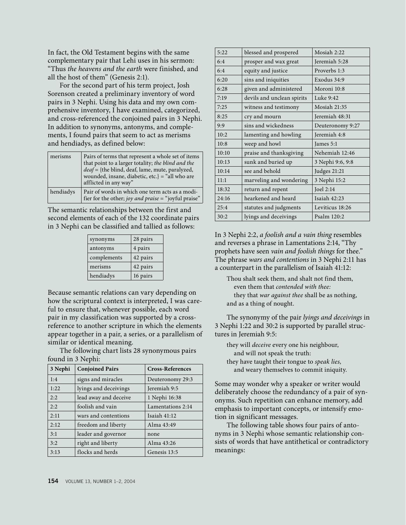In fact, the Old Testament begins with the same complementary pair that Lehi uses in his sermon: "Thus *the heavens and the earth* were finished, and all the host of them" (Genesis 2:1).

For the second part of his term project, Josh Sorenson created a preliminary inventory of word pairs in 3 Nephi. Using his data and my own comprehensive inventory, I have examined, categorized, and cross-referenced the conjoined pairs in 3 Nephi. In addition to synonyms, antonyms, and complements, I found pairs that seem to act as merisms and hendiadys, as defined below:

| merisms   | Pairs of terms that represent a whole set of items<br>that point to a larger totality; the blind and the<br>deaf = {the blind, deaf, lame, mute, paralyzed,<br>wounded, insane, diabetic, etc.} = "all who are<br>afflicted in any way" |
|-----------|-----------------------------------------------------------------------------------------------------------------------------------------------------------------------------------------------------------------------------------------|
| hendiadys | Pair of words in which one term acts as a modi-<br>fier for the other; joy and praise = "joyful praise"                                                                                                                                 |

The semantic relationships between the first and second elements of each of the 132 coordinate pairs in 3 Nephi can be classified and tallied as follows:

| synonyms    | 28 pairs |
|-------------|----------|
| antonyms    | 4 pairs  |
| complements | 42 pairs |
| merisms     | 42 pairs |
| hendiadys   | 16 pairs |

Because semantic relations can vary depending on how the scriptural context is interpreted, I was careful to ensure that, whenever possible, each word pair in my classification was supported by a crossreference to another scripture in which the elements appear together in a pair, a series, or a parallelism of similar or identical meaning.

The following chart lists 28 synonymous pairs found in 3 Nephi:

| 3 Nephi | <b>Conjoined Pairs</b> | <b>Cross-References</b> |
|---------|------------------------|-------------------------|
| 1:4     | signs and miracles     | Deuteronomy 29:3        |
| 1:22    | lyings and deceivings  | Jeremiah 9:5            |
| 2:2     | lead away and deceive  | 1 Nephi 16:38           |
| 2:2     | foolish and vain       | Lamentations 2:14       |
| 2:11    | wars and contentions   | Isaiah 41:12            |
| 2:12    | freedom and liberty    | Alma 43:49              |
| 3:1     | leader and governor    | none                    |
| 3:2     | right and liberty      | Alma 43:26              |
| 3:13    | flocks and herds       | Genesis 13:5            |

| 5:22  | blessed and prospered      | Mosiah $2:22$    |
|-------|----------------------------|------------------|
| 6:4   | prosper and wax great      | Jeremiah 5:28    |
| 6:4   | equity and justice         | Proverbs 1:3     |
| 6:20  | sins and iniquities        | Exodus 34:9      |
| 6:28  | given and administered     | Moroni 10:8      |
| 7:19  | devils and unclean spirits | Luke $9:42$      |
| 7:25  | witness and testimony      | Mosiah $21:35$   |
| 8:25  | cry and mourn              | Jeremiah 48:31   |
| 9:9   | sins and wickedness        | Deuteronomy 9:27 |
| 10:2  | lamenting and howling      | Jeremiah 4:8     |
| 10:8  | weep and howl              | James 5:1        |
| 10:10 | praise and thanksgiving    | Nehemiah 12:46   |
| 10:13 | sunk and buried up         | 3 Nephi 9:6, 9:8 |
| 10:14 | see and behold             | Judges 21:21     |
| 11:1  | marveling and wondering    | 3 Nephi 15:2     |
| 18:32 | return and repent          | Joel 2:14        |
| 24:16 | hearkened and heard        | Isaiah 42:23     |
| 25:4  | statutes and judgments     | Leviticus 18:26  |
| 30:2  | lyings and deceivings      | Psalm 120:2      |
|       |                            |                  |

In 3 Nephi 2:2, *a foolish and a vain thing* resembles and reverses a phrase in Lamentations 2:14, "Thy prophets have seen *vain and foolish things* for thee." The phrase *wars and contentions* in 3 Nephi 2:11 has a counterpart in the parallelism of Isaiah 41:12:

Thou shalt seek them, and shalt not find them, even them that *contended with thee:* they that *war against thee* shall be as nothing, and as a thing of nought.

The synonymy of the pair *lyings and deceivings* in 3 Nephi 1:22 and 30:2 is supported by parallel structures in Jeremiah 9:5:

they will *deceive* every one his neighbour, and will not speak the truth: they have taught their tongue to *speak lies,* and weary themselves to commit iniquity.

Some may wonder why a speaker or writer would deliberately choose the redundancy of a pair of synonyms. Such repetition can enhance memory, add emphasis to important concepts, or intensify emotion in significant messages.

The following table shows four pairs of antonyms in 3 Nephi whose semantic relationship consists of words that have antithetical or contradictory meanings: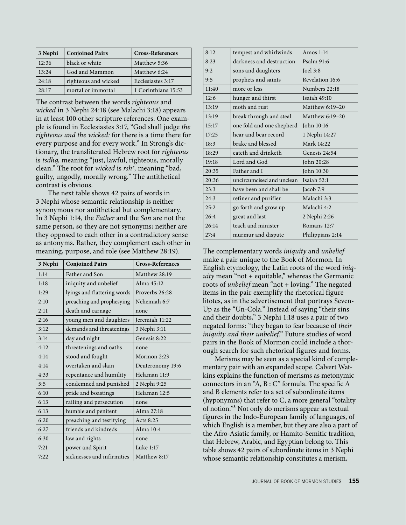| 3 Nephi | <b>Conjoined Pairs</b> | <b>Cross-References</b> |
|---------|------------------------|-------------------------|
| 12:36   | black or white         | Matthew 5:36            |
| 13:24   | God and Mammon         | Matthew 6:24            |
| 24:18   | righteous and wicked   | Ecclesiastes 3:17       |
| 28:17   | mortal or immortal     | 1 Corinthians 15:53     |

The contrast between the words *righteous* and *wicked* in 3 Nephi 24:18 (see Malachi 3:18) appears in at least 100 other scripture references. One example is found in Ecclesiastes 3:17, "God shall judge *the righteous and the wicked:* for there is a time there for every purpose and for every work." In Strong's dictionary, the transliterated Hebrew root for *righteous* is *tsdhq,* meaning "just, lawful, righteous, morally clean." The root for *wicked* is *rsh>,* meaning "bad, guilty, ungodly, morally wrong." The antithetical contrast is obvious.

The next table shows 42 pairs of words in 3 Nephi whose semantic relationship is neither synonymous nor antithetical but complementary. In 3 Nephi 1:14, the *Father* and the *Son* are not the same person, so they are not synonyms; neither are they opposed to each other in a contradictory sense as antonyms. Rather, they complement each other in meaning, purpose, and role (see Matthew 28:19).

| 3 Nephi | <b>Conjoined Pairs</b>      | <b>Cross-References</b> |
|---------|-----------------------------|-------------------------|
| 1:14    | Father and Son              | Matthew 28:19           |
| 1:18    | iniquity and unbelief       | Alma 45:12              |
| 1:29    | lyings and flattering words | Proverbs 26:28          |
| 2:10    | preaching and prophesying   | Nehemiah 6:7            |
| 2:11    | death and carnage           | none                    |
| 2:16    | young men and daughters     | Jeremiah 11:22          |
| 3:12    | demands and threatenings    | 3 Nephi 3:11            |
| 3:14    | day and night               | Genesis 8:22            |
| 4:12    | threatenings and oaths      | none                    |
| 4:14    | stood and fought            | Mormon 2:23             |
| 4:14    | overtaken and slain         | Deuteronomy 19:6        |
| 4:33    | repentance and humility     | Helaman 11:9            |
| 5:5     | condemned and punished      | 2 Nephi 9:25            |
| 6:10    | pride and boastings         | Helaman 12:5            |
| 6:13    | railing and persecution     | none                    |
| 6:13    | humble and penitent         | Alma 27:18              |
| 6:20    | preaching and testifying    | Acts 8:25               |
| 6:27    | friends and kindreds        | Alma 10:4               |
| 6:30    | law and rights              | none                    |
| 7:21    | power and Spirit            | Luke 1:17               |
| 7:22    | sicknesses and infirmities  | Matthew 8:17            |

| 8:12  | tempest and whirlwinds    | Amos $1:14$      |
|-------|---------------------------|------------------|
| 8:23  | darkness and destruction  | Psalm 91:6       |
| 9:2   | sons and daughters        | Joel $3:8$       |
| 9:5   | prophets and saints       | Revelation 16:6  |
| 11:40 | more or less              | Numbers 22:18    |
| 12:6  | hunger and thirst         | Isaiah $49:10$   |
| 13:19 | moth and rust             | Matthew 6:19-20  |
| 13:19 | break through and steal   | Matthew 6:19-20  |
| 15:17 | one fold and one shepherd | John 10:16       |
| 17:25 | hear and bear record      | 1 Nephi 14:27    |
| 18:3  | brake and blessed         | Mark 14:22       |
| 18:29 | eateth and drinketh       | Genesis 24:54    |
| 19:18 | Lord and God              | John 20:28       |
| 20:35 | Father and I              | John 10:30       |
| 20:36 | uncircumcised and unclean | Isaiah $52:1$    |
| 23:3  | have been and shall be    | Jacob 7:9        |
| 24:3  | refiner and purifier      | Malachi 3:3      |
| 25:2  | go forth and grow up      | Malachi 4:2      |
| 26:4  | great and last            | 2 Nephi 2:26     |
| 26:14 | teach and minister        | Romans 12:7      |
| 27:4  | murmur and dispute        | Philippians 2:14 |

The complementary words *iniquity* and *unbelief*  make a pair unique to the Book of Mormon. In English etymology, the Latin roots of the word *iniquity* mean "not + equitable," whereas the Germanic roots of *unbelief* mean "not + loving." The negated items in the pair exemplify the rhetorical figure litotes, as in the advertisement that portrays Seven-Up as the "Un-Cola." Instead of saying "their sins and their doubts," 3 Nephi 1:18 uses a pair of two negated forms: "they began to fear because of *their iniquity and their unbelief.*" Future studies of word pairs in the Book of Mormon could include a thorough search for such rhetorical figures and forms.

Merisms may be seen as a special kind of complementary pair with an expanded scope. Calvert Watkins explains the function of merisms as metonymic connectors in an "A, B : C" formula. The specific A and B elements refer to a set of subordinate items (hyponymns) that refer to C, a more general "totality of notion."³ Not only do merisms appear as textual figures in the Indo-European family of languages, of which English is a member, but they are also a part of the Afro-Asiatic family, or Hamito-Semitic tradition, that Hebrew, Arabic, and Egyptian belong to. This table shows 42 pairs of subordinate items in 3 Nephi whose semantic relationship constitutes a merism,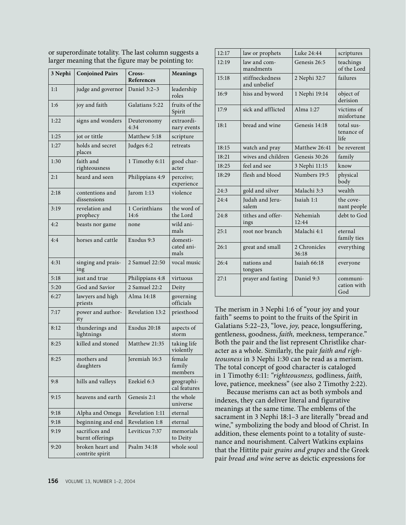| 3 Nephi | <b>Conjoined Pairs</b>              | Cross-<br>References  | <b>Meanings</b>                |
|---------|-------------------------------------|-----------------------|--------------------------------|
| 1:1     | judge and governor                  | Daniel 3:2-3          | leadership<br>roles            |
| 1:6     | joy and faith                       | Galatians 5:22        | fruits of the<br>Spirit        |
| 1:22    | signs and wonders                   | Deuteronomy<br>4:34   | extraordi-<br>nary events      |
| 1:25    | jot or tittle                       | Matthew 5:18          | scripture                      |
| 1:27    | holds and secret<br>places          | Judges 6:2            | retreats                       |
| 1:30    | faith and<br>righteousness          | 1 Timothy 6:11        | good char-<br>acter            |
| 2:1     | heard and seen                      | Philippians 4:9       | perceive;<br>experience        |
| 2:18    | contentions and<br>dissensions      | Jarom 1:13            | violence                       |
| 3:19    | revelation and<br>prophecy          | 1 Corinthians<br>14:6 | the word of<br>the Lord        |
| 4:2     | beasts nor game                     | none                  | wild ani-<br>mals              |
| 4:4     | horses and cattle                   | Exodus 9:3            | domesti-<br>cated ani-<br>mals |
| 4:31    | singing and prais-<br>ing           | 2 Samuel 22:50        | vocal music                    |
| 5:18    | just and true                       | Philippians 4:8       | virtuous                       |
| 5:20    | God and Savior                      | 2 Samuel 22:2         | Deity                          |
| 6:27    | lawyers and high<br>priests         | Alma 14:18            | governing<br>officials         |
| 7:17    | power and author-<br>ity            | Revelation 13:2       | priesthood                     |
| 8:12    | thunderings and<br>lightnings       | Exodus 20:18          | aspects of<br>storm            |
| 8:25    | killed and stoned                   | Matthew 21:35         | taking life<br>violently       |
| 8:25    | mothers and<br>daughters            | Jeremiah 16:3         | female<br>family<br>members    |
| 9:8     | hills and valleys                   | Ezekiel 6:3           | geographi-<br>cal features     |
| 9:15    | heavens and earth                   | Genesis 2:1           | the whole<br>universe          |
| 9:18    | Alpha and Omega                     | Revelation 1:11       | eternal                        |
| 9:18    | beginning and end                   | Revelation 1:8        | eternal                        |
| 9:19    | sacrifices and<br>burnt offerings   | Leviticus 7:37        | memorials<br>to Deity          |
| 9:20    | broken heart and<br>contrite spirit | Psalm 34:18           | whole soul                     |

or superordinate totality. The last column suggests a larger meaning that the figure may be pointing to:

12:17 | law or prophets | Luke 24:44 | scriptures  $12:19$  law and commandments Genesis  $26:5$  teachings of the Lord 15:18 | stiffneckedness and unbelief 2 Nephi 32:7 | failures 16:9 hiss and byword 1 Nephi 19:14 object of derision 17:9 sick and afflicted Alma 1:27 victims of misfortune 18:1 bread and wine Genesis 14:18 total sustenance of life 18:15 watch and pray Matthew 26:41 be reverent 18:21 wives and children Genesis 30:26  $\frac{1}{2}$  family 18:25 | feel and see | 3 Nephi 11:15 | know 18:29  $\left| \right|$  flesh and blood  $\left| \right|$  Numbers 19:5  $\left| \right|$  physical body 24:3  $\big|$  gold and silver  $\big|$  Malachi 3:3  $\big|$  wealth 24:4 Judah and Jerusalem Isaiah 1:1  $\vert$  the covenant people 24:8 Itithes and offerings Nehemiah 12:44 debt to God 25:1 root nor branch Malachi 4:1 eternal family ties  $26:1$  great and small 2 Chronicles 36:18 everything 26:4 nations and tongues Isaiah 66:18 everyone 27:1 | prayer and fasting | Daniel 9:3 | communication with God

The merism in 3 Nephi 1:6 of "your joy and your faith" seems to point to the fruits of the Spirit in Galatians 5:22–23, "love, *joy,* peace, longsuffering, gentleness, goodness, *faith,* meekness, temperance." Both the pair and the list represent Christlike character as a whole. Similarly, the pair *faith and righteousness* in 3 Nephi 1:30 can be read as a merism. The total concept of good character is cataloged in 1 Timothy 6:11: *"righteousness,* godliness, *faith,* love, patience, meekness" (see also 2 Timothy 2:22).

Because merisms can act as both symbols and indexes, they can deliver literal and figurative meanings at the same time. The emblems of the sacrament in 3 Nephi 18:1–3 are literally "bread and wine," symbolizing the body and blood of Christ. In addition, these elements point to a totality of sustenance and nourishment. Calvert Watkins explains that the Hittite pair *grains and grapes* and the Greek pair *bread and wine* serve as deictic expressions for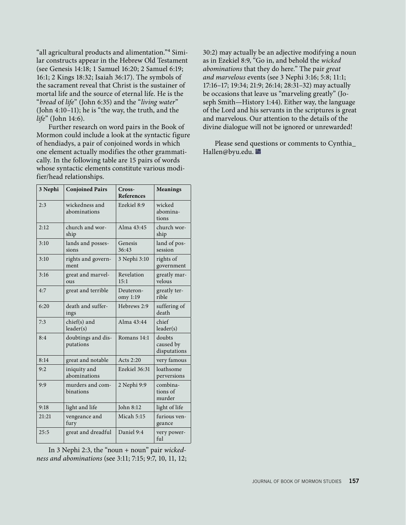"all agricultural products and alimentation."<sup>4</sup> Similar constructs appear in the Hebrew Old Testament (see Genesis 14:18; 1 Samuel 16:20; 2 Samuel 6:19; 16:1; 2 Kings 18:32; Isaiah 36:17). The symbols of the sacrament reveal that Christ is the sustainer of mortal life and the source of eternal life. He is the "*bread* of *life*" (John 6:35) and the "*living water*" (John 4:10–11); he is "the way, the truth, and the *life*" (John 14:6).

Further research on word pairs in the Book of Mormon could include a look at the syntactic figure of hendiadys, a pair of conjoined words in which one element actually modifies the other grammatically. In the following table are 15 pairs of words whose syntactic elements constitute various modifier/head relationships.

| 3 Nephi | <b>Conjoined Pairs</b>          | Cross-<br><b>References</b> | Meanings                            |
|---------|---------------------------------|-----------------------------|-------------------------------------|
| 2:3     | wickedness and<br>abominations  | Ezekiel 8:9                 | wicked<br>abomina-<br>tions         |
| 2:12    | church and wor-<br>ship         | Alma 43:45                  | church wor-<br>ship                 |
| 3:10    | lands and posses-<br>sions      | Genesis<br>36:43            | land of pos-<br>session             |
| 3:10    | rights and govern-<br>ment      | 3 Nephi 3:10                | rights of<br>government             |
| 3:16    | great and marvel-<br><b>OUS</b> | Revelation<br>15:1          | greatly mar-<br>velous              |
| 4:7     | great and terrible              | Deuteron-<br>omy 1:19       | greatly ter-<br>rible               |
| 6:20    | death and suffer-<br>ings       | Hebrews 2:9                 | suffering of<br>death               |
| 7:3     | chief(s) and<br>leader(s)       | Alma $43:44$                | chief<br>leader(s)                  |
| 8:4     | doubtings and dis-<br>putations | Romans 14:1                 | doubts<br>caused by<br>disputations |
| 8:14    | great and notable               | Acts $2:20$                 | very famous                         |
| 9:2     | iniquity and<br>abominations    | Ezekiel 36:31               | loathsome<br>perversions            |
| 9:9     | murders and com-<br>binations   | 2 Nephi 9:9                 | combina-<br>tions of<br>murder      |
| 9:18    | light and life                  | John 8:12                   | light of life                       |
| 21:21   | vengeance and<br>fury           | Micah $5:15$                | furious ven-<br>geance              |
| 25:5    | great and dreadful              | Daniel 9:4                  | very power-<br>ful                  |

In 3 Nephi 2:3, the "noun + noun" pair *wickedness and abominations* (see 3:11; 7:15; 9:7, 10, 11, 12; 30:2) may actually be an adjective modifying a noun as in Ezekiel 8:9, "Go in, and behold the *wicked abominations* that they do here." The pair *great and marvelous* events (see 3 Nephi 3:16; 5:8; 11:1; 17:16–17; 19:34; 21:9; 26:14; 28:31–32) may actually be occasions that leave us "marveling greatly" (Joseph Smith—History 1:44). Either way, the language of the Lord and his servants in the scriptures is great and marvelous. Our attention to the details of the divine dialogue will not be ignored or unrewarded!

Please send questions or comments to Cynthia\_ Hallen@byu.edu. ■